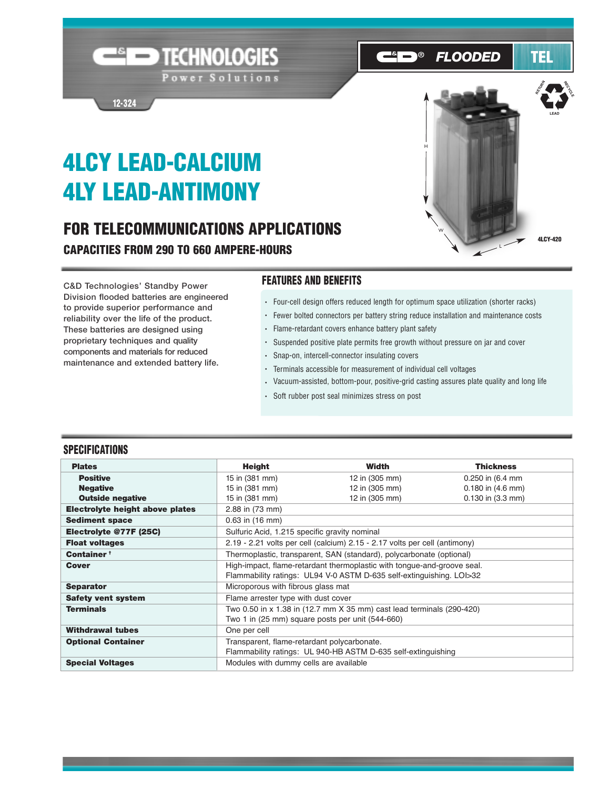# **4LCY LEAD-CALCIUM 4LY LEAD-ANTIMONY**

**12-324**

## **FOR TELECOMMUNICATIONS APPLICATIONS CAPACITIES FROM 290 TO 660 AMPERE-HOURS**

**END TECHNOLOGIES** 

Power Solutions

**C&D Technologies' Standby Power Division flooded batteries are engineered to provide superior performance and reliability over the life of the product. These batteries are designed using proprietary techniques and quality components and materials for reduced maintenance and extended battery life.**

### **FEATURES AND BENEFITS**

- Four-cell design offers reduced length for optimum space utilization (shorter racks)
- Fewer bolted connectors per battery string reduce installation and maintenance costs
- Flame-retardant covers enhance battery plant safety
- Suspended positive plate permits free growth without pressure on jar and cover
- Snap-on, intercell-connector insulating covers
- Terminals accessible for measurement of individual cell voltages
- Vacuum-assisted, bottom-pour, positive-grid casting assures plate quality and long life
- Soft rubber post seal minimizes stress on post

#### **SPECIFICATIONS**

| <b>Plates</b>                   | <b>Height</b>                                                              | Width          | <b>Thickness</b>      |  |  |  |  |  |  |  |
|---------------------------------|----------------------------------------------------------------------------|----------------|-----------------------|--|--|--|--|--|--|--|
| <b>Positive</b>                 | 15 in (381 mm)                                                             | 12 in (305 mm) | 0.250 in (6.4 mm)     |  |  |  |  |  |  |  |
| <b>Negative</b>                 | 15 in (381 mm)                                                             | 12 in (305 mm) | $0.180$ in $(4.6$ mm) |  |  |  |  |  |  |  |
| <b>Outside negative</b>         | 15 in (381 mm)                                                             | 12 in (305 mm) | $0.130$ in $(3.3$ mm) |  |  |  |  |  |  |  |
| Electrolyte height above plates | 2.88 in (73 mm)                                                            |                |                       |  |  |  |  |  |  |  |
| <b>Sediment space</b>           | $0.63$ in $(16$ mm)                                                        |                |                       |  |  |  |  |  |  |  |
| Electrolyte @77F (25C)          | Sulfuric Acid, 1.215 specific gravity nominal                              |                |                       |  |  |  |  |  |  |  |
| <b>Float voltages</b>           | 2.19 - 2.21 volts per cell (calcium) 2.15 - 2.17 volts per cell (antimony) |                |                       |  |  |  |  |  |  |  |
| Container <sup>+</sup>          | Thermoplastic, transparent, SAN (standard), polycarbonate (optional)       |                |                       |  |  |  |  |  |  |  |
| <b>Cover</b>                    | High-impact, flame-retardant thermoplastic with tongue-and-groove seal.    |                |                       |  |  |  |  |  |  |  |
|                                 | Flammability ratings: UL94 V-0 ASTM D-635 self-extinguishing. LOI>32       |                |                       |  |  |  |  |  |  |  |
| <b>Separator</b>                | Microporous with fibrous glass mat                                         |                |                       |  |  |  |  |  |  |  |
| <b>Safety vent system</b>       | Flame arrester type with dust cover                                        |                |                       |  |  |  |  |  |  |  |
| <b>Terminals</b>                | Two 0.50 in x 1.38 in (12.7 mm X 35 mm) cast lead terminals (290-420)      |                |                       |  |  |  |  |  |  |  |
|                                 | Two 1 in (25 mm) square posts per unit (544-660)                           |                |                       |  |  |  |  |  |  |  |
| <b>Withdrawal tubes</b>         | One per cell                                                               |                |                       |  |  |  |  |  |  |  |
| <b>Optional Container</b>       | Transparent, flame-retardant polycarbonate.                                |                |                       |  |  |  |  |  |  |  |
|                                 | Flammability ratings: UL 940-HB ASTM D-635 self-extinguishing              |                |                       |  |  |  |  |  |  |  |
| <b>Special Voltages</b>         | Modules with dummy cells are available                                     |                |                       |  |  |  |  |  |  |  |



#### $\mathbb{R}$   $\Box$ *FLOODED*



**RECTES**